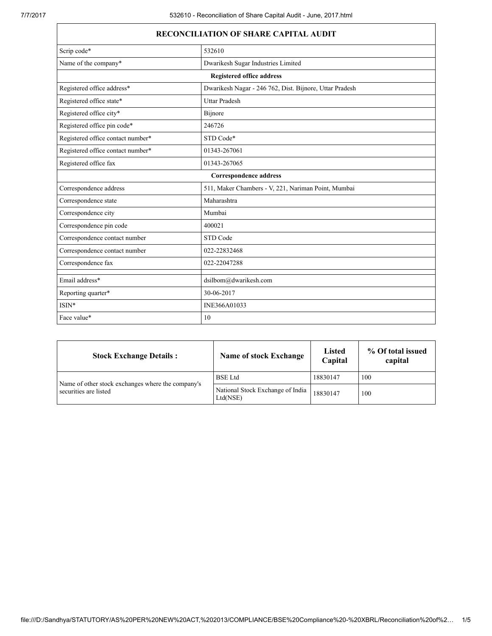| <b>RECONCILIATION OF SHARE CAPITAL AUDIT</b>                                          |                                    |  |  |  |  |
|---------------------------------------------------------------------------------------|------------------------------------|--|--|--|--|
| Scrip code*<br>532610                                                                 |                                    |  |  |  |  |
| Name of the company*                                                                  | Dwarikesh Sugar Industries Limited |  |  |  |  |
|                                                                                       | <b>Registered office address</b>   |  |  |  |  |
| Registered office address*<br>Dwarikesh Nagar - 246 762, Dist. Bijnore, Uttar Pradesh |                                    |  |  |  |  |
| Registered office state*<br><b>Uttar Pradesh</b>                                      |                                    |  |  |  |  |
| Registered office city*                                                               | Bijnore                            |  |  |  |  |
| Registered office pin code*                                                           | 246726                             |  |  |  |  |
| Registered office contact number*<br>STD Code*                                        |                                    |  |  |  |  |
| Registered office contact number*<br>01343-267061                                     |                                    |  |  |  |  |
| Registered office fax<br>01343-267065                                                 |                                    |  |  |  |  |
| <b>Correspondence address</b>                                                         |                                    |  |  |  |  |
| Correspondence address<br>511, Maker Chambers - V, 221, Nariman Point, Mumbai         |                                    |  |  |  |  |
| Maharashtra<br>Correspondence state                                                   |                                    |  |  |  |  |
| Correspondence city<br>Mumbai                                                         |                                    |  |  |  |  |
| Correspondence pin code<br>400021                                                     |                                    |  |  |  |  |
| Correspondence contact number<br>STD Code                                             |                                    |  |  |  |  |
| Correspondence contact number<br>022-22832468                                         |                                    |  |  |  |  |
| Correspondence fax<br>022-22047288                                                    |                                    |  |  |  |  |
| Email address*                                                                        | dsilbom@dwarikesh.com              |  |  |  |  |
| Reporting quarter*                                                                    | 30-06-2017                         |  |  |  |  |
| ISIN*                                                                                 | INE366A01033                       |  |  |  |  |
| Face value*                                                                           | 10                                 |  |  |  |  |

| <b>Stock Exchange Details:</b>                    | <b>Name of stock Exchange</b>                | Listed<br>Capital | % Of total issued<br>capital |
|---------------------------------------------------|----------------------------------------------|-------------------|------------------------------|
| Name of other stock exchanges where the company's | <b>BSE</b> Ltd                               | 18830147          | 100                          |
| securities are listed                             | National Stock Exchange of India<br>Ltd(NSE) | 18830147          | 100                          |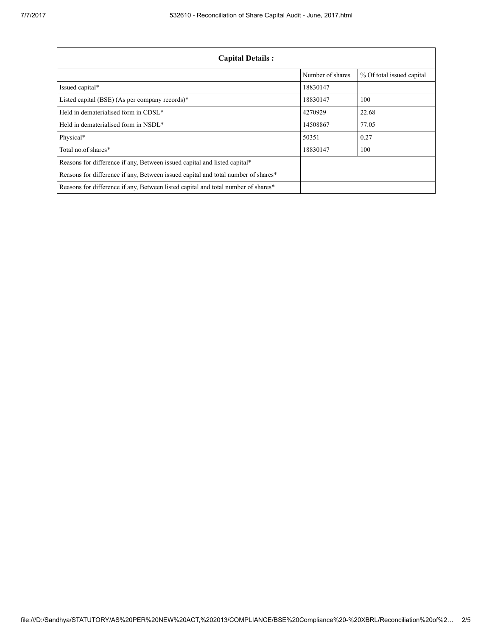| <b>Capital Details:</b>                                                           |                  |                           |  |
|-----------------------------------------------------------------------------------|------------------|---------------------------|--|
|                                                                                   | Number of shares | % Of total issued capital |  |
| Issued capital*                                                                   | 18830147         |                           |  |
| Listed capital (BSE) (As per company records)*                                    | 18830147         | 100                       |  |
| Held in dematerialised form in CDSL*                                              | 4270929          | 22.68                     |  |
| Held in dematerialised form in NSDL*                                              | 14508867         | 77.05                     |  |
| Physical*                                                                         | 50351            | 0.27                      |  |
| Total no of shares*                                                               | 18830147         | 100                       |  |
| Reasons for difference if any, Between issued capital and listed capital*         |                  |                           |  |
| Reasons for difference if any, Between issued capital and total number of shares* |                  |                           |  |
| Reasons for difference if any, Between listed capital and total number of shares* |                  |                           |  |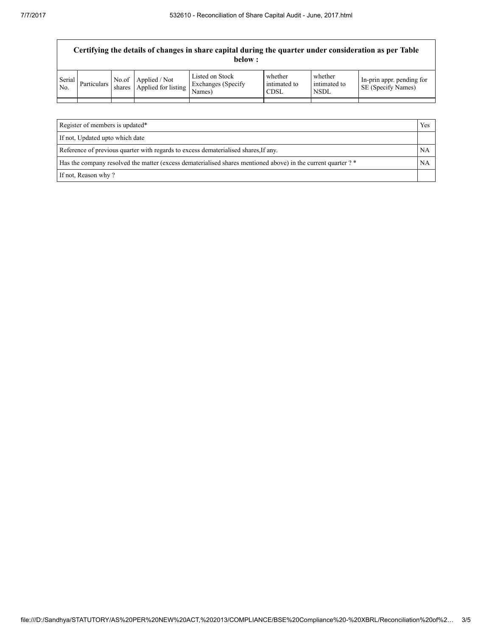|                          | Certifying the details of changes in share capital during the quarter under consideration as per Table<br>below: |  |                                                   |                                                 |                                        |                                        |                                                 |
|--------------------------|------------------------------------------------------------------------------------------------------------------|--|---------------------------------------------------|-------------------------------------------------|----------------------------------------|----------------------------------------|-------------------------------------------------|
| Serial<br>N <sub>0</sub> | Particulars                                                                                                      |  | No.of Applied / Not<br>shares Applied for listing | Listed on Stock<br>Exchanges (Specify<br>Names) | whether<br>intimated to<br><b>CDSL</b> | whether<br>intimated to<br><b>NSDL</b> | In-prin appr. pending for<br>SE (Specify Names) |
|                          |                                                                                                                  |  |                                                   |                                                 |                                        |                                        |                                                 |
|                          |                                                                                                                  |  |                                                   |                                                 |                                        |                                        |                                                 |

| Register of members is updated*                                                                               |           |
|---------------------------------------------------------------------------------------------------------------|-----------|
| If not, Updated upto which date                                                                               |           |
| Reference of previous quarter with regards to excess dematerialised shares, If any.                           | <b>NA</b> |
| Has the company resolved the matter (excess dematerialised shares mentioned above) in the current quarter ? * |           |
| If not, Reason why?                                                                                           |           |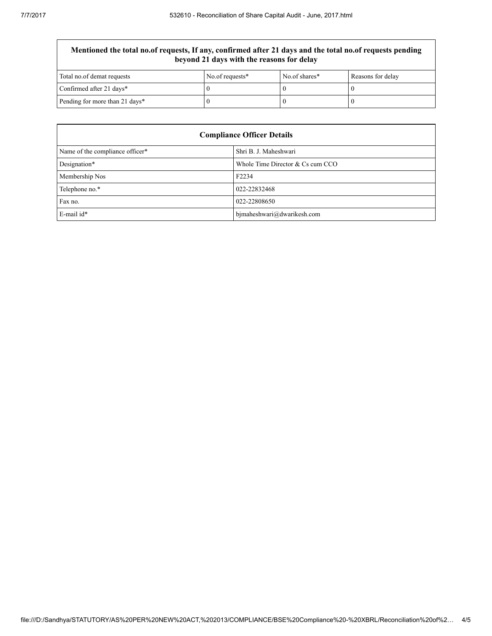## Mentioned the total no.of requests, If any, confirmed after 21 days and the total no.of requests pending beyond 21 days with the reasons for delay

| Total no.of demat requests     | No.of requests* | No.of shares* | Reasons for delay |
|--------------------------------|-----------------|---------------|-------------------|
| Confirmed after 21 days*       |                 |               |                   |
| Pending for more than 21 days* |                 |               |                   |

| <b>Compliance Officer Details</b>                    |                            |  |
|------------------------------------------------------|----------------------------|--|
| Name of the compliance officer*                      | Shri B. J. Maheshwari      |  |
| Designation*<br>Whole Time Director $& Cs$ cum $CCO$ |                            |  |
| Membership Nos                                       | F <sub>2234</sub>          |  |
| Telephone no.*                                       | 022-22832468               |  |
| Fax no.                                              | 022-22808650               |  |
| E-mail id*                                           | bjmaheshwari@dwarikesh.com |  |